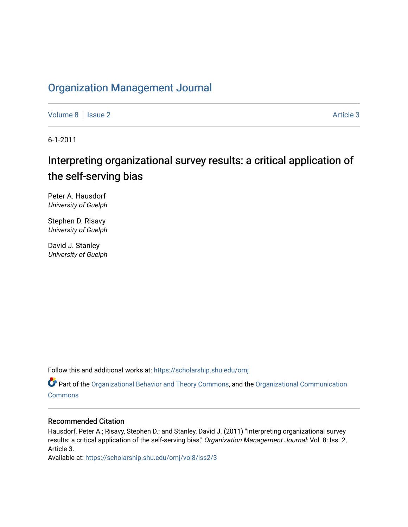# [Organization Management Journal](https://scholarship.shu.edu/omj)

[Volume 8](https://scholarship.shu.edu/omj/vol8) | [Issue 2](https://scholarship.shu.edu/omj/vol8/iss2) Article 3

6-1-2011

# Interpreting organizational survey results: a critical application of the self-serving bias

Peter A. Hausdorf University of Guelph

Stephen D. Risavy University of Guelph

David J. Stanley University of Guelph

Follow this and additional works at: [https://scholarship.shu.edu/omj](https://scholarship.shu.edu/omj?utm_source=scholarship.shu.edu%2Fomj%2Fvol8%2Fiss2%2F3&utm_medium=PDF&utm_campaign=PDFCoverPages) 

Part of the [Organizational Behavior and Theory Commons,](http://network.bepress.com/hgg/discipline/639?utm_source=scholarship.shu.edu%2Fomj%2Fvol8%2Fiss2%2F3&utm_medium=PDF&utm_campaign=PDFCoverPages) and the [Organizational Communication](http://network.bepress.com/hgg/discipline/335?utm_source=scholarship.shu.edu%2Fomj%2Fvol8%2Fiss2%2F3&utm_medium=PDF&utm_campaign=PDFCoverPages) **[Commons](http://network.bepress.com/hgg/discipline/335?utm_source=scholarship.shu.edu%2Fomj%2Fvol8%2Fiss2%2F3&utm_medium=PDF&utm_campaign=PDFCoverPages)** 

# Recommended Citation

Hausdorf, Peter A.; Risavy, Stephen D.; and Stanley, David J. (2011) "Interpreting organizational survey results: a critical application of the self-serving bias," Organization Management Journal: Vol. 8: Iss. 2, Article 3.

Available at: [https://scholarship.shu.edu/omj/vol8/iss2/3](https://scholarship.shu.edu/omj/vol8/iss2/3?utm_source=scholarship.shu.edu%2Fomj%2Fvol8%2Fiss2%2F3&utm_medium=PDF&utm_campaign=PDFCoverPages)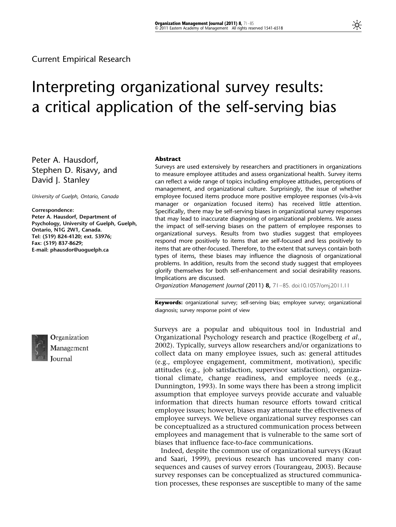# Interpreting organizational survey results: a critical application of the self-serving bias

Peter A. Hausdorf, Stephen D. Risavy, and David J. Stanley

University of Guelph, Ontario, Canada

#### Correspondence: Peter A. Hausdorf, Department of Psychology, University of Guelph, Guelph, Ontario, N1G 2W1, Canada. Tel: (519) 824-4120; ext. 53976; Fax: (519) 837-8629;

E-mail: phausdor@uoguelph.ca

#### Abstract

Surveys are used extensively by researchers and practitioners in organizations to measure employee attitudes and assess organizational health. Survey items can reflect a wide range of topics including employee attitudes, perceptions of management, and organizational culture. Surprisingly, the issue of whether employee focused items produce more positive employee responses (vis-à-vis manager or organization focused items) has received little attention. Specifically, there may be self-serving biases in organizational survey responses that may lead to inaccurate diagnosing of organizational problems. We assess the impact of self-serving biases on the pattern of employee responses to organizational surveys. Results from two studies suggest that employees respond more positively to items that are self-focused and less positively to items that are other-focused. Therefore, to the extent that surveys contain both types of items, these biases may influence the diagnosis of organizational problems. In addition, results from the second study suggest that employees glorify themselves for both self-enhancement and social desirability reasons. Implications are discussed.

Organization Management Journal (2011) 8, 71-85. doi:10.1057/omj.2011.11

Keywords: organizational survey; self-serving bias; employee survey; organizational diagnosis; survey response point of view

Surveys are a popular and ubiquitous tool in Industrial and Organizational Psychology research and practice (Rogelberg et al., 2002). Typically, surveys allow researchers and/or organizations to collect data on many employee issues, such as: general attitudes (e.g., employee engagement, commitment, motivation), specific attitudes (e.g., job satisfaction, supervisor satisfaction), organizational climate, change readiness, and employee needs (e.g., Dunnington, 1993). In some ways there has been a strong implicit assumption that employee surveys provide accurate and valuable information that directs human resource efforts toward critical employee issues; however, biases may attenuate the effectiveness of employee surveys. We believe organizational survey responses can be conceptualized as a structured communication process between employees and management that is vulnerable to the same sort of biases that influence face-to-face communications.

Indeed, despite the common use of organizational surveys (Kraut and Saari, 1999), previous research has uncovered many consequences and causes of survey errors (Tourangeau, 2003). Because survey responses can be conceptualized as structured communication processes, these responses are susceptible to many of the same



Organization Management **Journal**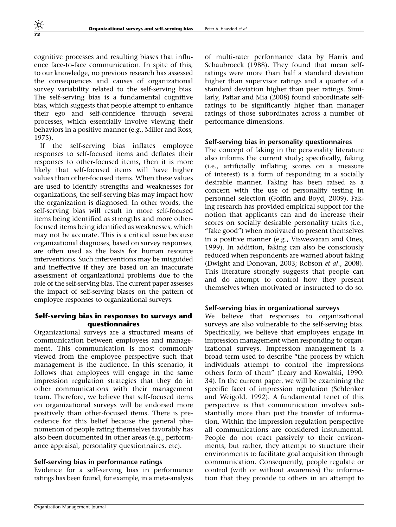cognitive processes and resulting biases that influence face-to-face communication. In spite of this, to our knowledge, no previous research has assessed the consequences and causes of organizational survey variability related to the self-serving bias. The self-serving bias is a fundamental cognitive bias, which suggests that people attempt to enhance their ego and self-confidence through several processes, which essentially involve viewing their behaviors in a positive manner (e.g., Miller and Ross, 1975).

If the self-serving bias inflates employee responses to self-focused items and deflates their responses to other-focused items, then it is more likely that self-focused items will have higher values than other-focused items. When these values are used to identify strengths and weaknesses for organizations, the self-serving bias may impact how the organization is diagnosed. In other words, the self-serving bias will result in more self-focused items being identified as strengths and more otherfocused items being identified as weaknesses, which may not be accurate. This is a critical issue because organizational diagnoses, based on survey responses, are often used as the basis for human resource interventions. Such interventions may be misguided and ineffective if they are based on an inaccurate assessment of organizational problems due to the role of the self-serving bias. The current paper assesses the impact of self-serving biases on the pattern of employee responses to organizational surveys.

# Self-serving bias in responses to surveys and questionnaires

Organizational surveys are a structured means of communication between employees and management. This communication is most commonly viewed from the employee perspective such that management is the audience. In this scenario, it follows that employees will engage in the same impression regulation strategies that they do in other communications with their management team. Therefore, we believe that self-focused items on organizational surveys will be endorsed more positively than other-focused items. There is precedence for this belief because the general phenomenon of people rating themselves favorably has also been documented in other areas (e.g., performance appraisal, personality questionnaires, etc).

# Self-serving bias in performance ratings

Evidence for a self-serving bias in performance ratings has been found, for example, in a meta-analysis of multi-rater performance data by Harris and Schaubroeck (1988). They found that mean selfratings were more than half a standard deviation higher than supervisor ratings and a quarter of a standard deviation higher than peer ratings. Similarly, Patiar and Mia (2008) found subordinate selfratings to be significantly higher than manager ratings of those subordinates across a number of performance dimensions.

### Self-serving bias in personality questionnaires

The concept of faking in the personality literature also informs the current study; specifically, faking (i.e., artificially inflating scores on a measure of interest) is a form of responding in a socially desirable manner. Faking has been raised as a concern with the use of personality testing in personnel selection (Goffin and Boyd, 2009). Faking research has provided empirical support for the notion that applicants can and do increase their scores on socially desirable personality traits (i.e., "fake good") when motivated to present themselves in a positive manner (e.g., Viswesvaran and Ones, 1999). In addition, faking can also be consciously reduced when respondents are warned about faking (Dwight and Donovan, 2003; Robson et al., 2008). This literature strongly suggests that people can and do attempt to control how they present themselves when motivated or instructed to do so.

### Self-serving bias in organizational surveys

We believe that responses to organizational surveys are also vulnerable to the self-serving bias. Specifically, we believe that employees engage in impression management when responding to organizational surveys. Impression management is a broad term used to describe "the process by which individuals attempt to control the impressions others form of them" (Leary and Kowalski, 1990: 34). In the current paper, we will be examining the specific facet of impression regulation (Schlenker and Weigold, 1992). A fundamental tenet of this perspective is that communication involves substantially more than just the transfer of information. Within the impression regulation perspective all communications are considered instrumental. People do not react passively to their environments, but rather, they attempt to structure their environments to facilitate goal acquisition through communication. Consequently, people regulate or control (with or without awareness) the information that they provide to others in an attempt to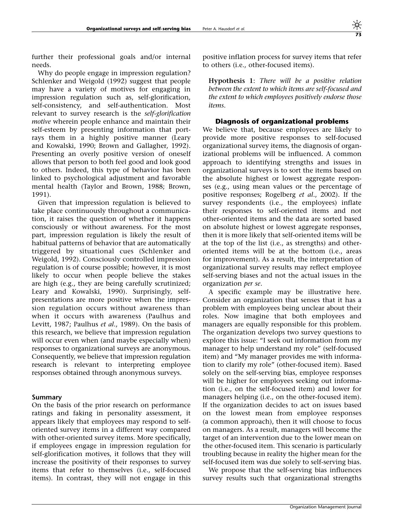further their professional goals and/or internal needs.

Why do people engage in impression regulation? Schlenker and Weigold (1992) suggest that people may have a variety of motives for engaging in impression regulation such as, self-glorification, self-consistency, and self-authentication. Most relevant to survey research is the self-glorification motive wherein people enhance and maintain their self-esteem by presenting information that portrays them in a highly positive manner (Leary and Kowalski, 1990; Brown and Gallagher, 1992). Presenting an overly positive version of oneself allows that person to both feel good and look good to others. Indeed, this type of behavior has been linked to psychological adjustment and favorable mental health (Taylor and Brown, 1988; Brown, 1991).

Given that impression regulation is believed to take place continuously throughout a communication, it raises the question of whether it happens consciously or without awareness. For the most part, impression regulation is likely the result of habitual patterns of behavior that are automatically triggered by situational cues (Schlenker and Weigold, 1992). Consciously controlled impression regulation is of course possible; however, it is most likely to occur when people believe the stakes are high (e.g., they are being carefully scrutinized; Leary and Kowalski, 1990). Surprisingly, selfpresentations are more positive when the impression regulation occurs without awareness than when it occurs with awareness (Paulhus and Levitt, 1987; Paulhus et al., 1989). On the basis of this research, we believe that impression regulation will occur even when (and maybe especially when) responses to organizational surveys are anonymous. Consequently, we believe that impression regulation research is relevant to interpreting employee responses obtained through anonymous surveys.

#### Summary

On the basis of the prior research on performance ratings and faking in personality assessment, it appears likely that employees may respond to selforiented survey items in a different way compared with other-oriented survey items. More specifically, if employees engage in impression regulation for self-glorification motives, it follows that they will increase the positivity of their responses to survey items that refer to themselves (i.e., self-focused items). In contrast, they will not engage in this positive inflation process for survey items that refer to others (i.e., other-focused items).

Hypothesis 1: There will be a positive relation between the extent to which items are self-focused and the extent to which employees positively endorse those items.

#### Diagnosis of organizational problems

We believe that, because employees are likely to provide more positive responses to self-focused organizational survey items, the diagnosis of organizational problems will be influenced. A common approach to identifying strengths and issues in organizational surveys is to sort the items based on the absolute highest or lowest aggregate responses (e.g., using mean values or the percentage of positive responses; Rogelberg et al., 2002). If the survey respondents (i.e., the employees) inflate their responses to self-oriented items and not other-oriented items and the data are sorted based on absolute highest or lowest aggregate responses, then it is more likely that self-oriented items will be at the top of the list (i.e., as strengths) and otheroriented items will be at the bottom (i.e., areas for improvement). As a result, the interpretation of organizational survey results may reflect employee self-serving biases and not the actual issues in the organization per se.

A specific example may be illustrative here. Consider an organization that senses that it has a problem with employees being unclear about their roles. Now imagine that both employees and managers are equally responsible for this problem. The organization develops two survey questions to explore this issue: "I seek out information from my manager to help understand my role" (self-focused item) and "My manager provides me with information to clarify my role" (other-focused item). Based solely on the self-serving bias, employee responses will be higher for employees seeking out information (i.e., on the self-focused item) and lower for managers helping (i.e., on the other-focused item). If the organization decides to act on issues based on the lowest mean from employee responses (a common approach), then it will choose to focus on managers. As a result, managers will become the target of an intervention due to the lower mean on the other-focused item. This scenario is particularly troubling because in reality the higher mean for the self-focused item was due solely to self-serving bias.

We propose that the self-serving bias influences survey results such that organizational strengths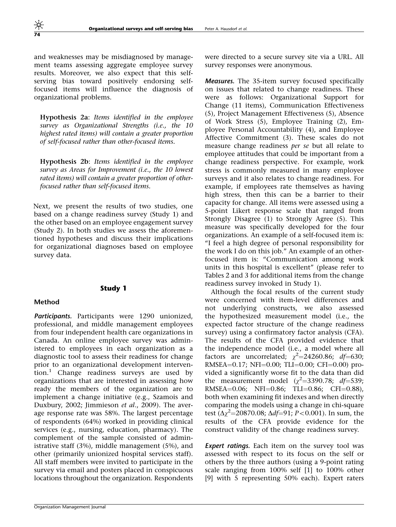and weaknesses may be misdiagnosed by management teams assessing aggregate employee survey results. Moreover, we also expect that this selfserving bias toward positively endorsing selffocused items will influence the diagnosis of organizational problems.

Hypothesis 2a: Items identified in the employee survey as Organizational Strengths (i.e., the 10 highest rated items) will contain a greater proportion of self-focused rather than other-focused items.

Hypothesis 2b: Items identified in the employee survey as Areas for Improvement (i.e., the 10 lowest rated items) will contain a greater proportion of otherfocused rather than self-focused items.

Next, we present the results of two studies, one based on a change readiness survey (Study 1) and the other based on an employee engagement survey (Study 2). In both studies we assess the aforementioned hypotheses and discuss their implications for organizational diagnoses based on employee survey data.

# Study 1

### Method

Participants. Participants were 1290 unionized, professional, and middle management employees from four independent health care organizations in Canada. An online employee survey was administered to employees in each organization as a diagnostic tool to assess their readiness for change prior to an organizational development intervention.<sup>1</sup> Change readiness surveys are used by organizations that are interested in assessing how ready the members of the organization are to implement a change initiative (e.g., Szamois and Duxbury, 2002; Jimmieson et al., 2009). The average response rate was 58%. The largest percentage of respondents (64%) worked in providing clinical services (e.g., nursing, education, pharmacy). The complement of the sample consisted of administrative staff (3%), middle management (5%), and other (primarily unionized hospital services staff). All staff members were invited to participate in the survey via email and posters placed in conspicuous locations throughout the organization. Respondents Measures. The 35-item survey focused specifically on issues that related to change readiness. These were as follows: Organizational Support for Change (11 items), Communication Effectiveness (5), Project Management Effectiveness (5), Absence of Work Stress (5), Employee Training (2), Employee Personal Accountability (4), and Employee Affective Commitment (3). These scales do not measure change readiness per se but all relate to employee attitudes that could be important from a change readiness perspective. For example, work stress is commonly measured in many employee surveys and it also relates to change readiness. For example, if employees rate themselves as having high stress, then this can be a barrier to their capacity for change. All items were assessed using a 5-point Likert response scale that ranged from Strongly Disagree (1) to Strongly Agree (5). This measure was specifically developed for the four organizations. An example of a self-focused item is: "I feel a high degree of personal responsibility for the work I do on this job." An example of an otherfocused item is: "Communication among work units in this hospital is excellent" (please refer to Tables 2 and 3 for additional items from the change readiness survey invoked in Study 1).

Although the focal results of the current study were concerned with item-level differences and not underlying constructs, we also assessed the hypothesized measurement model (i.e., the expected factor structure of the change readiness survey) using a confirmatory factor analysis (CFA). The results of the CFA provided evidence that the independence model (i.e., a model where all factors are uncorrelated;  $\chi^2$ =24260.86; df=630; RMSEA= $0.17$ ; NFI= $0.00$ ; TLI= $0.00$ ; CFI= $0.00$ ) provided a significantly worse fit to the data than did the measurement model  $(\chi^2=3390.78; df=539;$ RMSEA= $0.06$ ; NFI= $0.86$ ; TLI= $0.86$ ; CFI= $0.88$ ), both when examining fit indexes and when directly comparing the models using a change in chi-square test ( $\Delta \chi^2$ =20870.08;  $\Delta df$ =91; P<0.001). In sum, the results of the CFA provide evidence for the construct validity of the change readiness survey.

**Expert ratings.** Each item on the survey tool was assessed with respect to its focus on the self or others by the three authors (using a 9-point rating scale ranging from 100% self [1] to 100% other [9] with 5 representing 50% each). Expert raters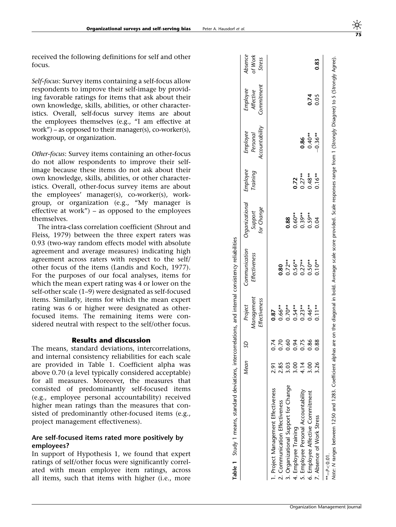|                                      | <b>Mean</b> | 5             | Management<br>Effectiveness<br>Project | Communication<br>Effectiveness                         | Organizational<br>for Change<br>Support | Employee<br>Training | Accountability<br>Employee<br>Personal | Commitment<br>Employee<br>Affective | Absence<br>of Work<br>Stress |
|--------------------------------------|-------------|---------------|----------------------------------------|--------------------------------------------------------|-----------------------------------------|----------------------|----------------------------------------|-------------------------------------|------------------------------|
| I. Project Management Effectiveness  | 2.91        | 0.74          | 0.87                                   |                                                        |                                         |                      |                                        |                                     |                              |
| 2. Communication Effectiveness       | 2.85        | 0.70          | $0.66**$                               |                                                        |                                         |                      |                                        |                                     |                              |
| 3. Organizational Support for Change | 3.03        | 0.60          | $0.70**$                               | $0.80$<br>$0.72**$<br>$0.56**$<br>$0.50**$<br>$0.50**$ | 0.88                                    |                      |                                        |                                     |                              |
| 4. Employee Training                 | 3.00        | 0.94          | $0.54***$                              |                                                        |                                         | 0.72                 |                                        |                                     |                              |
| 5. Employee Personal Accountability  | 4.14        | .<br>20       | $0.23**$                               |                                                        | $0.60**$<br>$0.39**$<br>$0.59***$       | $0.27**$             |                                        |                                     |                              |
| 6. Employee Affective Commitment     | 3.00        | $\frac{8}{2}$ | $0.46**$                               |                                                        |                                         |                      | $0.86$<br>$0.40**$                     |                                     |                              |
| 7. Absence of Work Stress            | 3.26        | ∞<br>⊗.<br>O  | $0.11***$                              |                                                        | 0.04                                    | $0.48***$<br>0.16**  | $-0.36**$                              | $0.74$<br>0.05                      | 0.83                         |

received the following definitions for self and other focus.

Self-focus: Survey items containing a self-focus allow respondents to improve their self-image by providing favorable ratings for items that ask about their own knowledge, skills, abilities, or other characteristics. Overall, self-focus survey items are about the employees themselves (e.g., "I am effective at work") – as opposed to their manager(s), co-worker(s), workgroup, or organization.

Other-focus: Survey items containing an other-focus do not allow respondents to improve their selfimage because these items do not ask about their own knowledge, skills, abilities, or other characteristics. Overall, other-focus survey items are about the employees' manager(s), co-worker(s), workgroup, or organization (e.g., "My manager is effective at work") – as opposed to the employees themselves.

The intra-class correlation coefficient (Shrout and Fleiss, 1979) between the three expert raters was 0.93 (two-way random effects model with absolute agreement and average measures) indicating high agreement across raters with respect to the self/ other focus of the items (Landis and Koch, 1977). For the purposes of our focal analyses, items for which the mean expert rating was 4 or lower on the self-other scale (1–9) were designated as self-focused items. Similarly, items for which the mean expert rating was 6 or higher were designated as otherfocused items. The remaining items were considered neutral with respect to the self/other focus.

#### Results and discussion

The means, standard deviations, intercorrelations, and internal consistency reliabilities for each scale are provided in Table 1. Coefficient alpha was above 0.70 (a level typically considered acceptable) for all measures. Moreover, the measures that consisted of predominantly self-focused items (e.g., employee personal accountability) received higher mean ratings than the measures that consisted of predominantly other-focused items (e.g., project management effectiveness).

# Are self-focused items rated more positively by employees?

In support of Hypothesis 1, we found that expert ratings of self/other focus were significantly correlated with mean employee item ratings, across all items, such that items with higher (i.e., more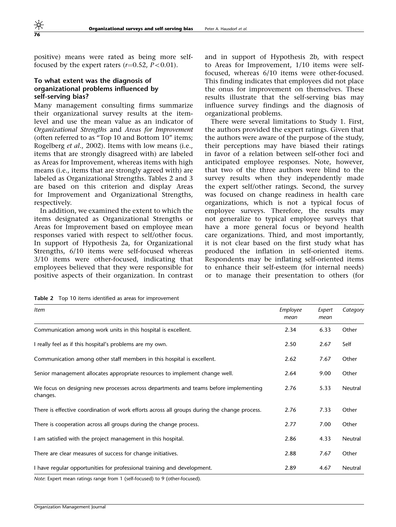positive) means were rated as being more selffocused by the expert raters  $(r=0.52, P<0.01)$ .

# To what extent was the diagnosis of organizational problems influenced by self-serving bias?

Many management consulting firms summarize their organizational survey results at the itemlevel and use the mean value as an indicator of Organizational Strengths and Areas for Improvement (often referred to as "Top 10 and Bottom 10" items; Rogelberg et al., 2002). Items with low means (i.e., items that are strongly disagreed with) are labeled as Areas for Improvement, whereas items with high means (i.e., items that are strongly agreed with) are labeled as Organizational Strengths. Tables 2 and 3 are based on this criterion and display Areas for Improvement and Organizational Strengths, respectively.

In addition, we examined the extent to which the items designated as Organizational Strengths or Areas for Improvement based on employee mean responses varied with respect to self/other focus. In support of Hypothesis 2a, for Organizational Strengths, 6/10 items were self-focused whereas 3/10 items were other-focused, indicating that employees believed that they were responsible for positive aspects of their organization. In contrast and in support of Hypothesis 2b, with respect to Areas for Improvement, 1/10 items were selffocused, whereas 6/10 items were other-focused. This finding indicates that employees did not place the onus for improvement on themselves. These results illustrate that the self-serving bias may influence survey findings and the diagnosis of organizational problems.

There were several limitations to Study 1. First, the authors provided the expert ratings. Given that the authors were aware of the purpose of the study, their perceptions may have biased their ratings in favor of a relation between self-other foci and anticipated employee responses. Note, however, that two of the three authors were blind to the survey results when they independently made the expert self/other ratings. Second, the survey was focused on change readiness in health care organizations, which is not a typical focus of employee surveys. Therefore, the results may not generalize to typical employee surveys that have a more general focus or beyond health care organizations. Third, and most importantly, it is not clear based on the first study what has produced the inflation in self-oriented items. Respondents may be inflating self-oriented items to enhance their self-esteem (for internal needs) or to manage their presentation to others (for

| Item                                                                                             | Employee<br>mean | Expert<br>mean | Category |
|--------------------------------------------------------------------------------------------------|------------------|----------------|----------|
| Communication among work units in this hospital is excellent.                                    | 2.34             | 6.33           | Other    |
| I really feel as if this hospital's problems are my own.                                         | 2.50             | 2.67           | Self     |
| Communication among other staff members in this hospital is excellent.                           | 2.62             | 7.67           | Other    |
| Senior management allocates appropriate resources to implement change well.                      | 2.64             | 9.00           | Other    |
| We focus on designing new processes across departments and teams before implementing<br>changes. | 2.76             | 5.33           | Neutral  |
| There is effective coordination of work efforts across all groups during the change process.     | 2.76             | 7.33           | Other    |
| There is cooperation across all groups during the change process.                                | 2.77             | 7.00           | Other    |
| I am satisfied with the project management in this hospital.                                     | 2.86             | 4.33           | Neutral  |
| There are clear measures of success for change initiatives.                                      | 2.88             | 7.67           | Other    |
| I have regular opportunities for professional training and development.                          | 2.89             | 4.67           | Neutral  |
| Note: Expert mean ratings range from 1 (self-focused) to 9 (other-focused).                      |                  |                |          |

Table 2 Top 10 items identified as areas for improvement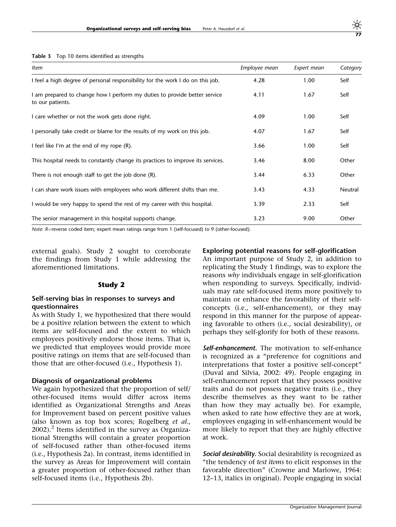| <b>Table 3</b> TOP TO Refins racingined as strengths                                          |               |             |          |
|-----------------------------------------------------------------------------------------------|---------------|-------------|----------|
| Item                                                                                          | Employee mean | Expert mean | Category |
| I feel a high degree of personal responsibility for the work I do on this job.                | 4.28          | 1.00        | Self     |
| I am prepared to change how I perform my duties to provide better service<br>to our patients. | 4.11          | 1.67        | Self     |
| I care whether or not the work gets done right.                                               | 4.09          | 1.00        | Self     |
| I personally take credit or blame for the results of my work on this job.                     | 4.07          | 1.67        | Self     |
| I feel like I'm at the end of my rope (R).                                                    | 3.66          | 1.00        | Self     |
| This hospital needs to constantly change its practices to improve its services.               | 3.46          | 8.00        | Other    |
| There is not enough staff to get the job done (R).                                            | 3.44          | 6.33        | Other    |
| I can share work issues with employees who work different shifts than me.                     | 3.43          | 4.33        | Neutral  |
| I would be very happy to spend the rest of my career with this hospital.                      | 3.39          | 2.33        | Self     |
| The senior management in this hospital supports change.                                       | 3.23          | 9.00        | Other    |

Table 3 Top 10 items identified as strengths

Note: R=reverse coded item; expert mean ratings range from 1 (self-focused) to 9 (other-focused).

external goals). Study 2 sought to corroborate the findings from Study 1 while addressing the aforementioned limitations.

#### Study 2

# Self-serving bias in responses to surveys and questionnaires

As with Study 1, we hypothesized that there would be a positive relation between the extent to which items are self-focused and the extent to which employees positively endorse those items. That is, we predicted that employees would provide more positive ratings on items that are self-focused than those that are other-focused (i.e., Hypothesis 1).

#### Diagnosis of organizational problems

We again hypothesized that the proportion of self/ other-focused items would differ across items identified as Organizational Strengths and Areas for Improvement based on percent positive values (also known as top box scores; Rogelberg et al.,  $2002$ ).<sup>2</sup> Items identified in the survey as Organizational Strengths will contain a greater proportion of self-focused rather than other-focused items (i.e., Hypothesis 2a). In contrast, items identified in the survey as Areas for Improvement will contain a greater proportion of other-focused rather than self-focused items (i.e., Hypothesis 2b).

Exploring potential reasons for self-glorification An important purpose of Study 2, in addition to

replicating the Study 1 findings, was to explore the reasons why individuals engage in self-glorification when responding to surveys. Specifically, individuals may rate self-focused items more positively to maintain or enhance the favorability of their selfconcepts (i.e., self-enhancement), or they may respond in this manner for the purpose of appearing favorable to others (i.e., social desirability), or perhaps they self-glorify for both of these reasons.

Self-enhancement. The motivation to self-enhance is recognized as a "preference for cognitions and interpretations that foster a positive self-concept" (Duval and Silvia, 2002: 49). People engaging in self-enhancement report that they possess positive traits and do not possess negative traits (i.e., they describe themselves as they want to be rather than how they may actually be). For example, when asked to rate how effective they are at work, employees engaging in self-enhancement would be more likely to report that they are highly effective at work.

Social desirability. Social desirability is recognized as "the tendency of test items to elicit responses in the favorable direction" (Crowne and Marlowe, 1964: 12–13, italics in original). People engaging in social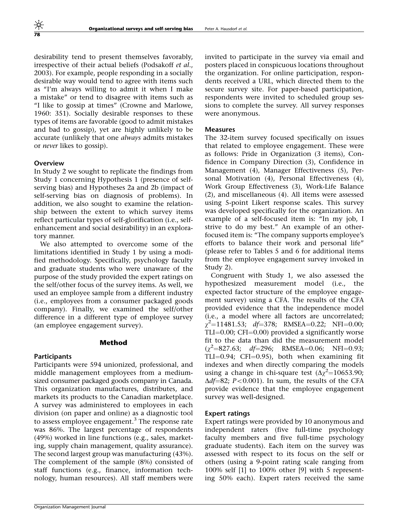desirability tend to present themselves favorably, irrespective of their actual beliefs (Podsakoff et al., 2003). For example, people responding in a socially desirable way would tend to agree with items such as "I'm always willing to admit it when I make a mistake" or tend to disagree with items such as "I like to gossip at times" (Crowne and Marlowe, 1960: 351). Socially desirable responses to these types of items are favorable (good to admit mistakes and bad to gossip), yet are highly unlikely to be accurate (unlikely that one always admits mistakes or never likes to gossip).

### **Overview**

In Study 2 we sought to replicate the findings from Study 1 concerning Hypothesis 1 (presence of selfserving bias) and Hypotheses 2a and 2b (impact of self-serving bias on diagnosis of problems). In addition, we also sought to examine the relationship between the extent to which survey items reflect particular types of self-glorification (i.e., selfenhancement and social desirability) in an exploratory manner.

We also attempted to overcome some of the limitations identified in Study 1 by using a modified methodology. Specifically, psychology faculty and graduate students who were unaware of the purpose of the study provided the expert ratings on the self/other focus of the survey items. As well, we used an employee sample from a different industry (i.e., employees from a consumer packaged goods company). Finally, we examined the self/other difference in a different type of employee survey (an employee engagement survey).

### Method

# **Participants**

Participants were 594 unionized, professional, and middle management employees from a mediumsized consumer packaged goods company in Canada. This organization manufactures, distributes, and markets its products to the Canadian marketplace. A survey was administered to employees in each division (on paper and online) as a diagnostic tool to assess employee engagement.<sup>3</sup> The response rate was 86%. The largest percentage of respondents (49%) worked in line functions (e.g., sales, marketing, supply chain management, quality assurance). The second largest group was manufacturing (43%). The complement of the sample (8%) consisted of staff functions (e.g., finance, information technology, human resources). All staff members were invited to participate in the survey via email and posters placed in conspicuous locations throughout the organization. For online participation, respondents received a URL, which directed them to the secure survey site. For paper-based participation, respondents were invited to scheduled group sessions to complete the survey. All survey responses were anonymous.

#### Measures

The 32-item survey focused specifically on issues that related to employee engagement. These were as follows: Pride in Organization (3 items), Confidence in Company Direction (3), Confidence in Management (4), Manager Effectiveness (5), Personal Motivation (4), Personal Effectiveness (4), Work Group Effectiveness (3), Work-Life Balance (2), and miscellaneous (4). All items were assessed using 5-point Likert response scales. This survey was developed specifically for the organization. An example of a self-focused item is: "In my job, I strive to do my best." An example of an otherfocused item is: "The company supports employee's efforts to balance their work and personal life" (please refer to Tables 5 and 6 for additional items from the employee engagement survey invoked in Study 2).

Congruent with Study 1, we also assessed the hypothesized measurement model (i.e., the expected factor structure of the employee engagement survey) using a CFA. The results of the CFA provided evidence that the independence model (i.e., a model where all factors are uncorrelated;  $\chi^2$ =11481.53; df=378; RMSEA=0.22; NFI=0.00; TLI= $0.00$ ; CFI= $0.00$ ) provided a significantly worse fit to the data than did the measurement model  $(\chi^2 = 827.63; \quad df = 296; \quad RMSEA = 0.06; \quad NF = 0.93;$ TLI=0.94; CFI=0.95), both when examining fit indexes and when directly comparing the models using a change in chi-square test ( $\Delta \chi^2$ =10653.90;  $\Delta df = 82$ ; P < 0.001). In sum, the results of the CFA provide evidence that the employee engagement survey was well-designed.

### Expert ratings

Expert ratings were provided by 10 anonymous and independent raters (five full-time psychology faculty members and five full-time psychology graduate students). Each item on the survey was assessed with respect to its focus on the self or others (using a 9-point rating scale ranging from 100% self [1] to 100% other [9] with 5 representing 50% each). Expert raters received the same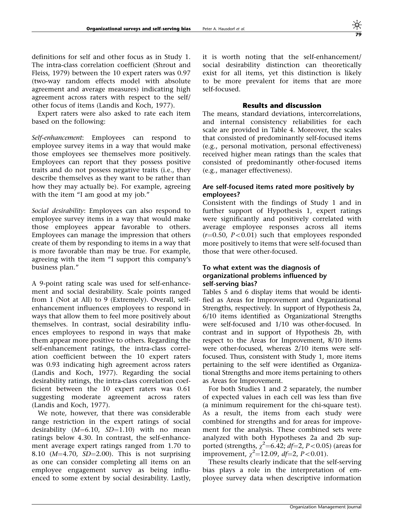definitions for self and other focus as in Study 1. The intra-class correlation coefficient (Shrout and Fleiss, 1979) between the 10 expert raters was 0.97 (two-way random effects model with absolute agreement and average measures) indicating high agreement across raters with respect to the self/ other focus of items (Landis and Koch, 1977).

Expert raters were also asked to rate each item based on the following:

Self-enhancement: Employees can respond to employee survey items in a way that would make those employees see themselves more positively. Employees can report that they possess positive traits and do not possess negative traits (i.e., they describe themselves as they want to be rather than how they may actually be). For example, agreeing with the item "I am good at my job."

Social desirability: Employees can also respond to employee survey items in a way that would make those employees appear favorable to others. Employees can manage the impression that others create of them by responding to items in a way that is more favorable than may be true. For example, agreeing with the item "I support this company's business plan."

A 9-point rating scale was used for self-enhancement and social desirability. Scale points ranged from 1 (Not at All) to 9 (Extremely). Overall, selfenhancement influences employees to respond in ways that allow them to feel more positively about themselves. In contrast, social desirability influences employees to respond in ways that make them appear more positive to others. Regarding the self-enhancement ratings, the intra-class correlation coefficient between the 10 expert raters was 0.93 indicating high agreement across raters (Landis and Koch, 1977). Regarding the social desirability ratings, the intra-class correlation coefficient between the 10 expert raters was 0.61 suggesting moderate agreement across raters (Landis and Koch, 1977).

We note, however, that there was considerable range restriction in the expert ratings of social desirability  $(M=6.10, SD=1.10)$  with no mean ratings below 4.30. In contrast, the self-enhancement average expert ratings ranged from 1.70 to 8.10 ( $M=4.70$ ,  $SD=2.00$ ). This is not surprising as one can consider completing all items on an employee engagement survey as being influenced to some extent by social desirability. Lastly, it is worth noting that the self-enhancement/ social desirability distinction can theoretically exist for all items, yet this distinction is likely to be more prevalent for items that are more self-focused.

#### Results and discussion

The means, standard deviations, intercorrelations, and internal consistency reliabilities for each scale are provided in Table 4. Moreover, the scales that consisted of predominantly self-focused items (e.g., personal motivation, personal effectiveness) received higher mean ratings than the scales that consisted of predominantly other-focused items (e.g., manager effectiveness).

# Are self-focused items rated more positively by employees?

Consistent with the findings of Study 1 and in further support of Hypothesis 1, expert ratings were significantly and positively correlated with average employee responses across all items  $(r=0.50, P<0.01)$  such that employees responded more positively to items that were self-focused than those that were other-focused.

# To what extent was the diagnosis of organizational problems influenced by self-serving bias?

Tables 5 and 6 display items that would be identified as Areas for Improvement and Organizational Strengths, respectively. In support of Hypothesis 2a, 6/10 items identified as Organizational Strengths were self-focused and 1/10 was other-focused. In contrast and in support of Hypothesis 2b, with respect to the Areas for Improvement, 8/10 items were other-focused, whereas 2/10 items were selffocused. Thus, consistent with Study 1, more items pertaining to the self were identified as Organizational Strengths and more items pertaining to others as Areas for Improvement.

For both Studies 1 and 2 separately, the number of expected values in each cell was less than five (a minimum requirement for the chi-square test). As a result, the items from each study were combined for strengths and for areas for improvement for the analysis. These combined sets were analyzed with both Hypotheses 2a and 2b supported (strengths,  $\chi^2$ =6.42; df=2, P<0.05) (areas for improvement,  $\chi^2$ =12.09, df=2, P<0.01).

These results clearly indicate that the self-serving bias plays a role in the interpretation of employee survey data when descriptive information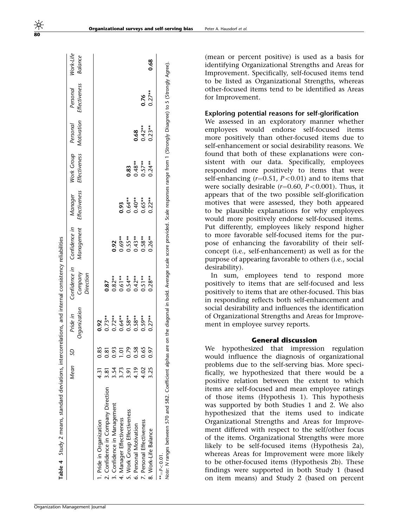| Table 4 Study 2 means, standard deviations, intercorrelations, and internal consistency reliabilities                                                                                                       |         |                |                                            |                              |                                           |                              |                                    |                        |                                  |                             |
|-------------------------------------------------------------------------------------------------------------------------------------------------------------------------------------------------------------|---------|----------------|--------------------------------------------|------------------------------|-------------------------------------------|------------------------------|------------------------------------|------------------------|----------------------------------|-----------------------------|
|                                                                                                                                                                                                             | Mean SD |                | Organization<br>Pride in                   | Company<br>Direction         | Management<br>Confidence in Confidence in | Effectiveness<br>Manager     | <b>Effectiveness</b><br>Work Group | Motivation<br>Personal | <b>Effectiveness</b><br>Personal | Work-Life<br><b>Balance</b> |
| 1. Pride in Organization                                                                                                                                                                                    | 4.31    | 0.85           |                                            |                              |                                           |                              |                                    |                        |                                  |                             |
| 2. Confidence in Company Direction                                                                                                                                                                          | 3.81    | $\overline{3}$ | $0.92$<br>$0.73**$<br>$0.72**$<br>$0.64**$ | 0.87                         |                                           |                              |                                    |                        |                                  |                             |
| 3. Confidence in Management                                                                                                                                                                                 | 3.54    | 0.93           |                                            | $0.82**$                     | 0.92                                      |                              |                                    |                        |                                  |                             |
| 4. Manager Effectiveness                                                                                                                                                                                    | 3.73    | $\overline{5}$ |                                            | $0.61**$                     | $0.69**$                                  | 0.93                         |                                    |                        |                                  |                             |
| 5. Work Group Effectiveness                                                                                                                                                                                 | 3.91    | 0.79           | $0.58**$                                   |                              | $0.55**$                                  |                              | 0.83                               |                        |                                  |                             |
| 6. Personal Motivation                                                                                                                                                                                      | 4.19    | 0.58           | $0.58**$                                   | $0.54**$<br>0.42**<br>0.51** | $0.43**$                                  | $0.64**$<br>0.40**<br>0.65** |                                    |                        |                                  |                             |
| 7. Personal Effectiveness                                                                                                                                                                                   | 4.02    | 0.65           | $0.59**$                                   |                              | $0.58**$                                  |                              | $0.48***$<br>0.57**                | $0.68$<br>$0.42**$     |                                  |                             |
| 8. Work-Life Balance                                                                                                                                                                                        | 3.25    | 0.97           | $0.27**$                                   | $0.28**$                     | $0.26***$                                 | $0.22***$                    | $0.24**$                           | $0.23**$               | $0.76$<br>$0.27**$               | 0.68                        |
| Note: N ranges between 570 and 582. Coefficient alphas are on the diagonal in bold. Average scale score provided. Scale responses range from 1 (Strongly Disagree) to 5 (Strongly Agree).<br>** $=P < 0.01$ |         |                |                                            |                              |                                           |                              |                                    |                        |                                  |                             |

(mean or percent positive) is used as a basis for identifying Organizational Strengths and Areas for Improvement. Specifically, self-focused items tend to be listed as Organizational Strengths, whereas other-focused items tend to be identified as Areas for Improvement.

### Exploring potential reasons for self-glorification

We assessed in an exploratory manner whether employees would endorse self-focused items more positively than other-focused items due to self-enhancement or social desirability reasons. We found that both of these explanations were consistent with our data. Specifically, employees responded more positively to items that were self-enhancing  $(r=0.51, P<0.01)$  and to items that were socially desirable  $(r=0.60, P<0.001)$ . Thus, it appears that of the two possible self-glorification motives that were assessed, they both appeared to be plausible explanations for why employees would more positively endorse self-focused items. Put differently, employees likely respond higher to more favorable self-focused items for the purpose of enhancing the favorability of their selfconcept (i.e., self-enhancement) as well as for the purpose of appearing favorable to others (i.e., social desirability).

In sum, employees tend to respond more positively to items that are self-focused and less positively to items that are other-focused. This bias in responding reflects both self-enhancement and social desirability and influences the identification of Organizational Strengths and Areas for Improvement in employee survey reports.

#### General discussion

We hypothesized that impression regulation would influence the diagnosis of organizational problems due to the self-serving bias. More specifically, we hypothesized that there would be a positive relation between the extent to which items are self-focused and mean employee ratings of those items (Hypothesis 1). This hypothesis was supported by both Studies 1 and 2. We also hypothesized that the items used to indicate Organizational Strengths and Areas for Improvement differed with respect to the self/other focus of the items. Organizational Strengths were more likely to be self-focused items (Hypothesis 2a), whereas Areas for Improvement were more likely to be other-focused items (Hypothesis 2b). These findings were supported in both Study 1 (based on item means) and Study 2 (based on percent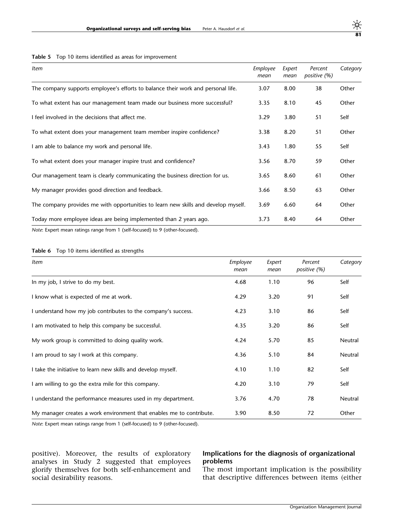#### Table 5 Top 10 items identified as areas for improvement

| Item                                                                               | Employee<br>mean | Expert<br>mean | Percent<br>positive (%) | Category |
|------------------------------------------------------------------------------------|------------------|----------------|-------------------------|----------|
| The company supports employee's efforts to balance their work and personal life.   | 3.07             | 8.00           | 38                      | Other    |
| To what extent has our management team made our business more successful?          | 3.35             | 8.10           | 45                      | Other    |
| I feel involved in the decisions that affect me.                                   | 3.29             | 3.80           | 51                      | Self     |
| To what extent does your management team member inspire confidence?                | 3.38             | 8.20           | 51                      | Other    |
| I am able to balance my work and personal life.                                    | 3.43             | 1.80           | 55                      | Self     |
| To what extent does your manager inspire trust and confidence?                     | 3.56             | 8.70           | 59                      | Other    |
| Our management team is clearly communicating the business direction for us.        | 3.65             | 8.60           | 61                      | Other    |
| My manager provides good direction and feedback.                                   | 3.66             | 8.50           | 63                      | Other    |
| The company provides me with opportunities to learn new skills and develop myself. | 3.69             | 6.60           | 64                      | Other    |
| Today more employee ideas are being implemented than 2 years ago.                  | 3.73             | 8.40           | 64                      | Other    |

Note: Expert mean ratings range from 1 (self-focused) to 9 (other-focused).

#### Table 6 Top 10 items identified as strengths

| Item                                                                 | Employee<br>mean | Expert<br>mean | Percent<br>positive (%) | Category |
|----------------------------------------------------------------------|------------------|----------------|-------------------------|----------|
| In my job, I strive to do my best.                                   | 4.68             | 1.10           | 96                      | Self     |
| I know what is expected of me at work.                               | 4.29             | 3.20           | 91                      | Self     |
| I understand how my job contributes to the company's success.        | 4.23             | 3.10           | 86                      | Self     |
| I am motivated to help this company be successful.                   | 4.35             | 3.20           | 86                      | Self     |
| My work group is committed to doing quality work.                    | 4.24             | 5.70           | 85                      | Neutral  |
| I am proud to say I work at this company.                            | 4.36             | 5.10           | 84                      | Neutral  |
| I take the initiative to learn new skills and develop myself.        | 4.10             | 1.10           | 82                      | Self     |
| I am willing to go the extra mile for this company.                  | 4.20             | 3.10           | 79                      | Self     |
| I understand the performance measures used in my department.         | 3.76             | 4.70           | 78                      | Neutral  |
| My manager creates a work environment that enables me to contribute. | 3.90             | 8.50           | 72                      | Other    |

Note: Expert mean ratings range from 1 (self-focused) to 9 (other-focused).

positive). Moreover, the results of exploratory analyses in Study 2 suggested that employees glorify themselves for both self-enhancement and social desirability reasons.

# Implications for the diagnosis of organizational problems

The most important implication is the possibility that descriptive differences between items (either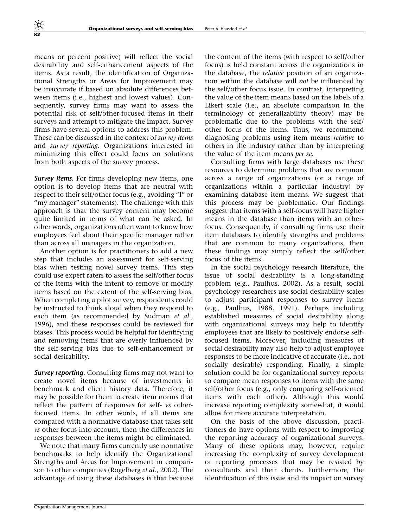means or percent positive) will reflect the social desirability and self-enhancement aspects of the items. As a result, the identification of Organizational Strengths or Areas for Improvement may be inaccurate if based on absolute differences between items (i.e., highest and lowest values). Consequently, survey firms may want to assess the potential risk of self/other-focused items in their surveys and attempt to mitigate the impact. Survey firms have several options to address this problem. These can be discussed in the context of survey items and survey reporting. Organizations interested in minimizing this effect could focus on solutions from both aspects of the survey process.

Survey items. For firms developing new items, one option is to develop items that are neutral with respect to their self/other focus (e.g., avoiding "I" or "my manager" statements). The challenge with this approach is that the survey content may become quite limited in terms of what can be asked. In other words, organizations often want to know how employees feel about their specific manager rather than across all managers in the organization.

Another option is for practitioners to add a new step that includes an assessment for self-serving bias when testing novel survey items. This step could use expert raters to assess the self/other focus of the items with the intent to remove or modify items based on the extent of the self-serving bias. When completing a pilot survey, respondents could be instructed to think aloud when they respond to each item (as recommended by Sudman et al., 1996), and these responses could be reviewed for biases. This process would be helpful for identifying and removing items that are overly influenced by the self-serving bias due to self-enhancement or social desirability.

Survey reporting. Consulting firms may not want to create novel items because of investments in benchmark and client history data. Therefore, it may be possible for them to create item norms that reflect the pattern of responses for self- vs otherfocused items. In other words, if all items are compared with a normative database that takes self vs other focus into account, then the differences in responses between the items might be eliminated.

We note that many firms currently use normative benchmarks to help identify the Organizational Strengths and Areas for Improvement in comparison to other companies (Rogelberg et al., 2002). The advantage of using these databases is that because the content of the items (with respect to self/other focus) is held constant across the organizations in the database, the *relative* position of an organization within the database will not be influenced by the self/other focus issue. In contrast, interpreting the value of the item means based on the labels of a Likert scale (i.e., an absolute comparison in the terminology of generalizability theory) may be problematic due to the problems with the self/ other focus of the items. Thus, we recommend diagnosing problems using item means relative to others in the industry rather than by interpreting the value of the item means *per se*.

Consulting firms with large databases use these resources to determine problems that are common across a range of organizations (or a range of organizations within a particular industry) by examining database item means. We suggest that this process may be problematic. Our findings suggest that items with a self-focus will have higher means in the database than items with an otherfocus. Consequently, if consulting firms use their item databases to identify strengths and problems that are common to many organizations, then these findings may simply reflect the self/other focus of the items.

In the social psychology research literature, the issue of social desirability is a long-standing problem (e.g., Paulhus, 2002). As a result, social psychology researchers use social desirability scales to adjust participant responses to survey items (e.g., Paulhus, 1988, 1991). Perhaps including established measures of social desirability along with organizational surveys may help to identify employees that are likely to positively endorse selffocused items. Moreover, including measures of social desirability may also help to adjust employee responses to be more indicative of accurate (i.e., not socially desirable) responding. Finally, a simple solution could be for organizational survey reports to compare mean responses to items with the same self/other focus (e.g., only comparing self-oriented items with each other). Although this would increase reporting complexity somewhat, it would allow for more accurate interpretation.

On the basis of the above discussion, practitioners do have options with respect to improving the reporting accuracy of organizational surveys. Many of these options may, however, require increasing the complexity of survey development or reporting processes that may be resisted by consultants and their clients. Furthermore, the identification of this issue and its impact on survey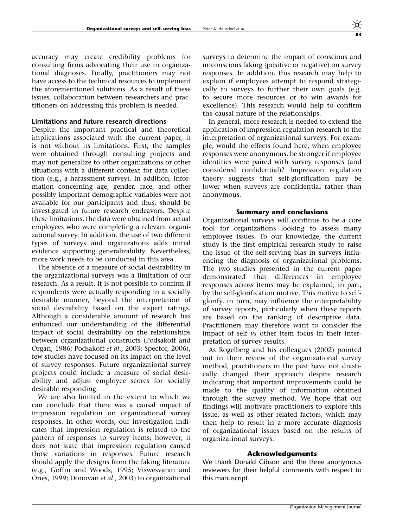accuracy may create credibility problems for consulting firms advocating their use in organizational diagnoses. Finally, practitioners may not have access to the technical resources to implement the aforementioned solutions. As a result of these issues, collaboration between researchers and practitioners on addressing this problem is needed.

#### Limitations and future research directions

Despite the important practical and theoretical implications associated with the current paper, it is not without its limitations. First, the samples were obtained through consulting projects and may not generalize to other organizations or other situations with a different context for data collection (e.g., a harassment survey). In addition, information concerning age, gender, race, and other possibly important demographic variables were not available for our participants and thus, should be investigated in future research endeavors. Despite these limitations, the data were obtained from actual employees who were completing a relevant organizational survey. In addition, the use of two different types of surveys and organizations adds initial evidence supporting generalizability. Nevertheless, more work needs to be conducted in this area.

The absence of a measure of social desirability in the organizational surveys was a limitation of our research. As a result, it is not possible to confirm if respondents were actually responding in a socially desirable manner, beyond the interpretation of social desirability based on the expert ratings. Although a considerable amount of research has enhanced our understanding of the differential impact of social desirability on the relationships between organizational constructs (Podsakoff and Organ, 1986; Podsakoff et al., 2003; Spector, 2006), few studies have focused on its impact on the level of survey responses. Future organizational survey projects could include a measure of social desirability and adjust employee scores for socially desirable responding.

We are also limited in the extent to which we can conclude that there was a causal impact of impression regulation on organizational survey responses. In other words, our investigation indicates that impression regulation is related to the pattern of responses to survey items; however, it does not state that impression regulation caused those variations in responses. Future research should apply the designs from the faking literature (e.g., Goffin and Woods, 1995; Viswesvaran and Ones, 1999; Donovan et al., 2003) to organizational surveys to determine the impact of conscious and unconscious faking (positive or negative) on survey responses. In addition, this research may help to explain if employees attempt to respond strategically to surveys to further their own goals (e.g. to secure more resources or to win awards for excellence). This research would help to confirm the causal nature of the relationships.

In general, more research is needed to extend the application of impression regulation research to the interpretation of organizational surveys. For example, would the effects found here, when employee responses were anonymous, be stronger if employee identities were paired with survey responses (and considered confidential)? Impression regulation theory suggests that self-glorification may be lower when surveys are confidential rather than anonymous.

#### Summary and conclusions

Organizational surveys will continue to be a core tool for organizations looking to assess many employee issues. To our knowledge, the current study is the first empirical research study to raise the issue of the self-serving bias in surveys influencing the diagnosis of organizational problems. The two studies presented in the current paper demonstrated that differences in employee responses across items may be explained, in part, by the self-glorification motive. This motive to selfglorify, in turn, may influence the interpretability of survey reports, particularly when these reports are based on the ranking of descriptive data. Practitioners may therefore want to consider the impact of self vs other item focus in their interpretation of survey results.

As Rogelberg and his colleagues (2002) pointed out in their review of the organizational survey method, practitioners in the past have not drastically changed their approach despite research indicating that important improvements could be made to the quality of information obtained through the survey method. We hope that our findings will motivate practitioners to explore this issue, as well as other related factors, which may then help to result in a more accurate diagnosis of organizational issues based on the results of organizational surveys.

#### Acknowledgements

We thank Donald Gibson and the three anonymous reviewers for their helpful comments with respect to this manuscript.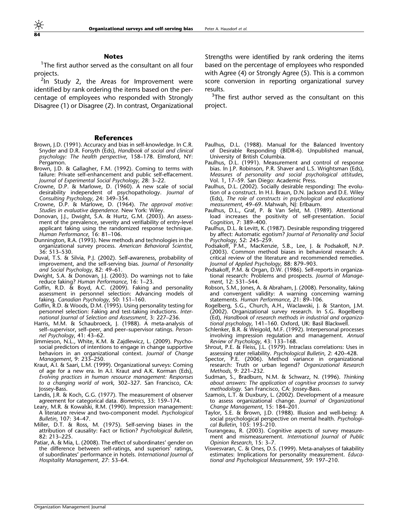#### Notes

<sup>1</sup>The first author served as the consultant on all four projects.

 $2$ In Study 2, the Areas for Improvement were identified by rank ordering the items based on the percentage of employees who responded with Strongly Disagree (1) or Disagree (2). In contrast, Organizational

#### References

- Brown, J.D. (1991). Accuracy and bias in self-knowledge. In C.R. Snyder and D.R. Forsyth (Eds), Handbook of social and clinical psychology: The health perspective, 158–178. Elmsford, NY: Pergamon.
- Brown, J.D. & Gallagher, F.M. (1992). Coming to terms with failure: Private self-enhancement and public self-effacement. Journal of Experimental Social Psychology, 28: 3–22.
- Crowne, D.P. & Marlowe, D. (1960). A new scale of social desirability independent of psychopathology. Journal of Consulting Psychology, 24: 349–354.
- Crowne, D.P. & Marlowe, D. (1964). The approval motive: Studies in evaluative dependence. New York: Wiley.
- Donovan, J.J., Dwight, S.A. & Hurtz, G.M. (2003). An assessment of the prevalence, severity and verifiability of entry-level applicant faking using the randomized response technique. Human Performance, 16: 81–106.
- Dunnington, R.A. (1993). New methods and technologies in the organizational survey process. American Behavioral Scientist, 36: 513–530.
- Duval, T.S. & Silvia, P.J. (2002). Self-awareness, probability of improvement, and the self-serving bias. Journal of Personality and Social Psychology, 82: 49–61.
- Dwight, S.A. & Donovan, J.J. (2003). Do warnings not to fake reduce faking? Human Performance, 16: 1–23.
- Goffin, R.D. & Boyd, A.C. (2009). Faking and personality assessment in personnel selection: Advancing models of faking. Canadian Psychology, 50: 151–160.
- Goffin, R.D. & Woods, D.M. (1995). Using personality testing for personnel selection: Faking and test-taking inductions. International Journal of Selection and Assessment, 3: 227–236.
- Harris, M.M. & Schaubroeck, J. (1988). A meta-analysis of self–supervisor, self–peer, and peer–supervisor ratings. Personnel Psychology, 41: 43–62.
- Jimmieson, N.L., White, K.M. & Zajdlewicz, L. (2009). Psychosocial predictors of intentions to engage in change supportive behaviors in an organizational context. Journal of Change Management, 9: 233–250.
- Kraut, A.I. & Saari, L.M. (1999). Organizational surveys: Coming of age for a new era. In A.I. Kraut and A.K. Korman (Eds), Evolving practices in human resource management: Responses to a changing world of work, 302–327. San Francisco, CA: Jossey-Bass.
- Landis, J.R. & Koch, G.G. (1977). The measurement of observer agreement for categorical data. Biometrics, 33: 159–174.
- Leary, M.R. & Kowalski, R.M. (1990). Impression management: A literature review and two-component model. Psychological Bulletin, 107: 34–47.
- Miller, D.T. & Ross, M. (1975). Self-serving biases in the attribution of causality: Fact or fiction? Psychological Bulletin, 82: 213–225.
- Patiar, A. & Mia, L. (2008). The effect of subordinates' gender on the difference between self-ratings, and superiors' ratings, of subordinates' performance in hotels. International Journal of Hospitality Management, 27: 53–64.

Strengths were identified by rank ordering the items based on the percentage of employees who responded with Agree (4) or Strongly Agree (5). This is a common score conversion in reporting organizational survey results.

<sup>3</sup>The first author served as the consultant on this project.

- Paulhus, D.L. (1988). Manual for the Balanced Inventory of Desirable Responding (BIDR-6). Unpublished manual, University of British Columbia.
- Paulhus, D.L. (1991). Measurement and control of response bias. In J.P. Robinson, P.R. Shaver and L.S. Wrightsman (Eds), Measures of personality and social psychological attitudes, Vol. 1, 17–59. San Diego: Academic Press.
- Paulhus, D.L. (2002). Socially desirable responding: The evolution of a construct. In H.I. Braun, D.N. Jackson and D.E. Wiley (Eds), The role of constructs in psychological and educational measurement, 49–69. Mahwah, NJ: Erlbaum.
- Paulhus, D.L., Graf, P. & Van Selst, M. (1989). Attentional load increases the positivity of self-presentation. Social Cognition, 7: 389–400.
- Paulhus, D.L. & Levitt, K. (1987). Desirable responding triggered by affect: Automatic egotism? Journal of Personality and Social Psychology, 52: 245–259.
- Podsakoff, P.M., MacKenzie, S.B., Lee, J. & Podsakoff, N.P. (2003). Common method biases in behavioral research: A critical review of the literature and recommended remedies. Journal of Applied Psychology, 88: 879–903.
- Podsakoff, P.M. & Organ, D.W. (1986). Self-reports in organizational research: Problems and prospects. Journal of Management, 12: 531–544.
- Robson, S.M., Jones, A. & Abraham, J. (2008). Personality, faking and convergent validity: A warning concerning warning statements. Human Performance, 21: 89–106.
- Rogelberg, S.G., Church, A.H., Waclawski, J. & Stanton, J.M. (2002). Organizational survey research. In S.G. Rogelberg (Ed), Handbook of research methods in industrial and organizational psychology, 141–160. Oxford, UK: Basil Blackwell.
- Schlenker, B.R. & Weigold, M.F. (1992). Interpersonal processes involving impression regulation and management. Annual Review of Psychology, 43: 133–168.
- Shrout, P.E. & Fleiss, J.L. (1979). Intraclass correlations: Uses in assessing rater reliability. Psychological Bulletin, 2: 420–428.
- Spector, P.E. (2006). Method variance in organizational research: Truth or urban legend? Organizational Research Methods, 9: 221–232.
- Sudman, S., Bradburn, N.M. & Schwarz, N. (1996). Thinking about answers: The application of cognitive processes to survey methodology. San Francisco, CA: Jossey-Bass.
- Szamois, L.T. & Duxbury, L. (2002). Development of a measure to assess organizational change. Journal of Organizational Change Management, 15: 184–201.
- Taylor, S.E. & Brown, J.D. (1988). Illusion and well-being: A social psychological perspective on mental health. Psychological Bulletin, 103: 193–210.
- Tourangeau, R. (2003). Cognitive aspects of survey measurement and mismeasurement. International Journal of Public Opinion Research, 15: 3–7.
- Viswesvaran, C. & Ones, D.S. (1999). Meta-analyses of fakability estimates: Implications for personality measurement. Educational and Psychological Measurement, 59: 197–210.